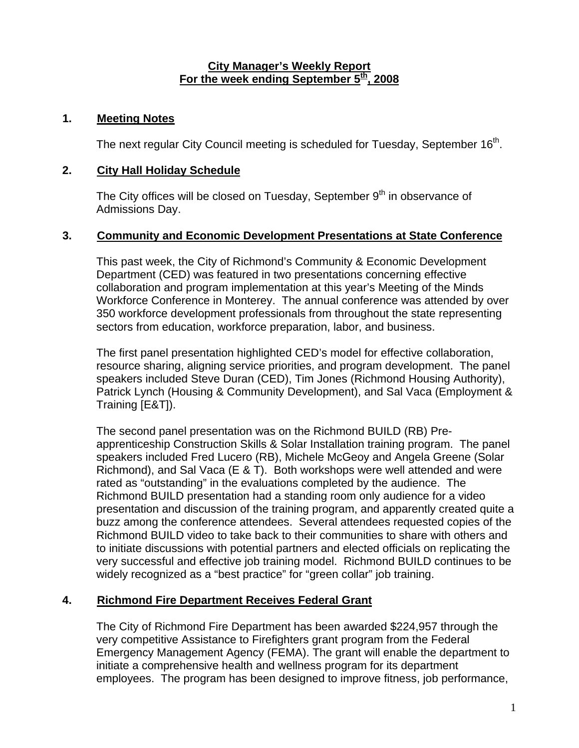#### **City Manager's Weekly Report** For the week ending September 5<sup>th</sup>, 2008

#### **1. Meeting Notes**

The next regular City Council meeting is scheduled for Tuesday, September  $16<sup>th</sup>$ .

#### **2. City Hall Holiday Schedule**

The City offices will be closed on Tuesday, September  $9<sup>th</sup>$  in observance of Admissions Day.

#### **3. Community and Economic Development Presentations at State Conference**

This past week, the City of Richmond's Community & Economic Development Department (CED) was featured in two presentations concerning effective collaboration and program implementation at this year's Meeting of the Minds Workforce Conference in Monterey. The annual conference was attended by over 350 workforce development professionals from throughout the state representing sectors from education, workforce preparation, labor, and business.

The first panel presentation highlighted CED's model for effective collaboration, resource sharing, aligning service priorities, and program development. The panel speakers included Steve Duran (CED), Tim Jones (Richmond Housing Authority), Patrick Lynch (Housing & Community Development), and Sal Vaca (Employment & Training [E&T]).

The second panel presentation was on the Richmond BUILD (RB) Preapprenticeship Construction Skills & Solar Installation training program. The panel speakers included Fred Lucero (RB), Michele McGeoy and Angela Greene (Solar Richmond), and Sal Vaca (E & T). Both workshops were well attended and were rated as "outstanding" in the evaluations completed by the audience. The Richmond BUILD presentation had a standing room only audience for a video presentation and discussion of the training program, and apparently created quite a buzz among the conference attendees. Several attendees requested copies of the Richmond BUILD video to take back to their communities to share with others and to initiate discussions with potential partners and elected officials on replicating the very successful and effective job training model. Richmond BUILD continues to be widely recognized as a "best practice" for "green collar" job training.

# **4. Richmond Fire Department Receives Federal Grant**

The City of Richmond Fire Department has been awarded \$224,957 through the very competitive Assistance to Firefighters grant program from the Federal Emergency Management Agency (FEMA). The grant will enable the department to initiate a comprehensive health and wellness program for its department employees. The program has been designed to improve fitness, job performance,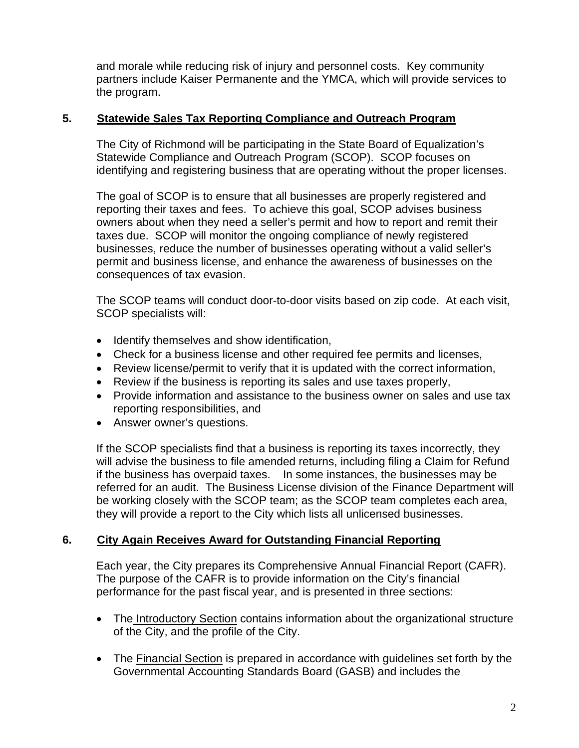and morale while reducing risk of injury and personnel costs. Key community partners include Kaiser Permanente and the YMCA, which will provide services to the program.

# **5. Statewide Sales Tax Reporting Compliance and Outreach Program**

The City of Richmond will be participating in the State Board of Equalization's Statewide Compliance and Outreach Program (SCOP). SCOP focuses on identifying and registering business that are operating without the proper licenses.

The goal of SCOP is to ensure that all businesses are properly registered and reporting their taxes and fees. To achieve this goal, SCOP advises business owners about when they need a seller's permit and how to report and remit their taxes due. SCOP will monitor the ongoing compliance of newly registered businesses, reduce the number of businesses operating without a valid seller's permit and business license, and enhance the awareness of businesses on the consequences of tax evasion.

The SCOP teams will conduct door-to-door visits based on zip code. At each visit, SCOP specialists will:

- Identify themselves and show identification,
- Check for a business license and other required fee permits and licenses,
- Review license/permit to verify that it is updated with the correct information,
- Review if the business is reporting its sales and use taxes properly,
- Provide information and assistance to the business owner on sales and use tax reporting responsibilities, and
- Answer owner's questions.

If the SCOP specialists find that a business is reporting its taxes incorrectly, they will advise the business to file amended returns, including filing a Claim for Refund if the business has overpaid taxes. In some instances, the businesses may be referred for an audit. The Business License division of the Finance Department will be working closely with the SCOP team; as the SCOP team completes each area, they will provide a report to the City which lists all unlicensed businesses.

# **6. City Again Receives Award for Outstanding Financial Reporting**

Each year, the City prepares its Comprehensive Annual Financial Report (CAFR). The purpose of the CAFR is to provide information on the City's financial performance for the past fiscal year, and is presented in three sections:

- The Introductory Section contains information about the organizational structure of the City, and the profile of the City.
- The Financial Section is prepared in accordance with guidelines set forth by the Governmental Accounting Standards Board (GASB) and includes the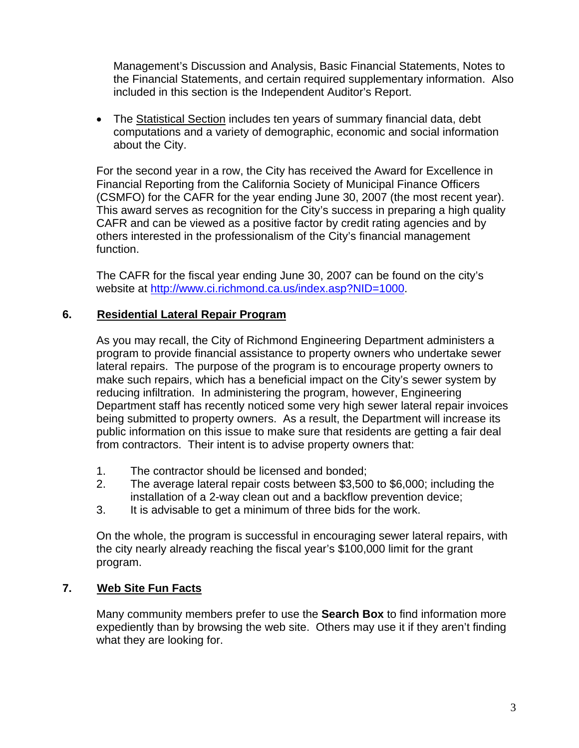Management's Discussion and Analysis, Basic Financial Statements, Notes to the Financial Statements, and certain required supplementary information. Also included in this section is the Independent Auditor's Report.

• The Statistical Section includes ten years of summary financial data, debt computations and a variety of demographic, economic and social information about the City.

For the second year in a row, the City has received the Award for Excellence in Financial Reporting from the California Society of Municipal Finance Officers (CSMFO) for the CAFR for the year ending June 30, 2007 (the most recent year). This award serves as recognition for the City's success in preparing a high quality CAFR and can be viewed as a positive factor by credit rating agencies and by others interested in the professionalism of the City's financial management function.

The CAFR for the fiscal year ending June 30, 2007 can be found on the city's website at [http://www.ci.richmond.ca.us/index.asp?NID=1000.](http://www.ci.richmond.ca.us/index.asp?NID=1000)

# **6. Residential Lateral Repair Program**

As you may recall, the City of Richmond Engineering Department administers a program to provide financial assistance to property owners who undertake sewer lateral repairs. The purpose of the program is to encourage property owners to make such repairs, which has a beneficial impact on the City's sewer system by reducing infiltration. In administering the program, however, Engineering Department staff has recently noticed some very high sewer lateral repair invoices being submitted to property owners. As a result, the Department will increase its public information on this issue to make sure that residents are getting a fair deal from contractors. Their intent is to advise property owners that:

- 1. The contractor should be licensed and bonded;
- 2. The average lateral repair costs between \$3,500 to \$6,000; including the installation of a 2-way clean out and a backflow prevention device;
- 3. It is advisable to get a minimum of three bids for the work.

On the whole, the program is successful in encouraging sewer lateral repairs, with the city nearly already reaching the fiscal year's \$100,000 limit for the grant program.

# **7. Web Site Fun Facts**

Many community members prefer to use the **Search Box** to find information more expediently than by browsing the web site. Others may use it if they aren't finding what they are looking for.